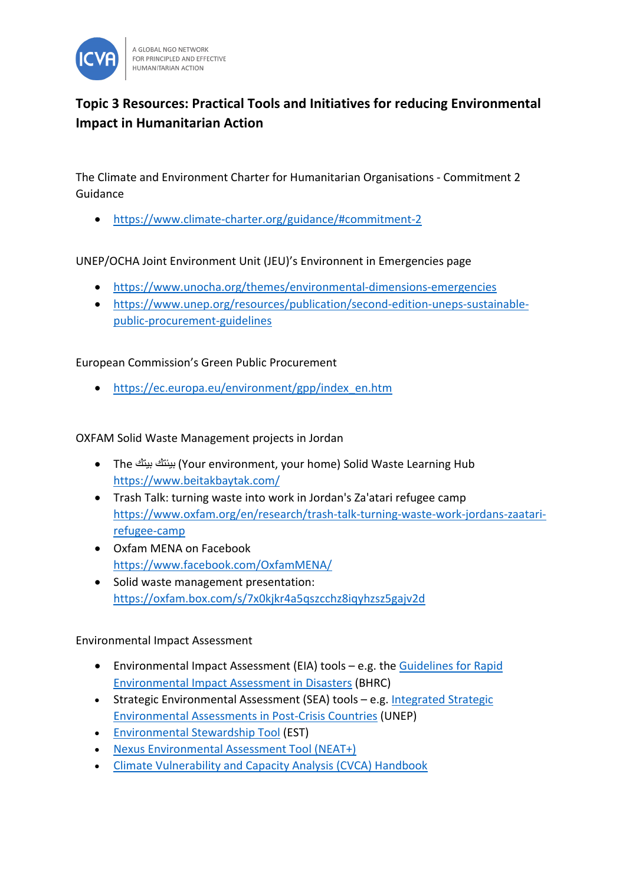

## **Topic 3 Resources: Practical Tools and Initiatives for reducing Environmental Impact in Humanitarian Action**

The Climate and Environment Charter for Humanitarian Organisations - Commitment 2 Guidance

• <https://www.climate-charter.org/guidance/#commitment-2>

UNEP/OCHA Joint Environment Unit (JEU)'s Environnent in Emergencies page

- <https://www.unocha.org/themes/environmental-dimensions-emergencies>
- [https://www.unep.org/resources/publication/second-edition-uneps-sustainable](https://www.unep.org/resources/publication/second-edition-uneps-sustainable-public-procurement-guidelines)[public-procurement-guidelines](https://www.unep.org/resources/publication/second-edition-uneps-sustainable-public-procurement-guidelines)

European Commission's Green Public Procurement

• [https://ec.europa.eu/environment/gpp/index\\_en.htm](https://ec.europa.eu/environment/gpp/index_en.htm)

OXFAM Solid Waste Management projects in Jordan

- The بیتك بیئتك) Your environment, your home) Solid Waste Learning Hub <https://www.beitakbaytak.com/>
- Trash Talk: turning waste into work in Jordan's Za'atari refugee camp [https://www.oxfam.org/en/research/trash-talk-turning-waste-work-jordans-zaatari](https://www.oxfam.org/en/research/trash-talk-turning-waste-work-jordans-zaatari-refugee-camp)[refugee-camp](https://www.oxfam.org/en/research/trash-talk-turning-waste-work-jordans-zaatari-refugee-camp)
- Oxfam MENA on Facebook <https://www.facebook.com/OxfamMENA/>
- Solid waste management presentation: <https://oxfam.box.com/s/7x0kjkr4a5qszcchz8iqyhzsz5gajv2d>

Environmental Impact Assessment

- Environmental Impact Assessment (EIA) tools e.g. the [Guidelines for Rapid](https://reliefweb.int/report/world/guidelines-rapid-environmental-impact-assessment-disasters-version-5-2018)  [Environmental Impact Assessment in Disasters](https://reliefweb.int/report/world/guidelines-rapid-environmental-impact-assessment-disasters-version-5-2018) (BHRC)
- Strategic Environmental Assessment (SEA) tools e.g. Integrated Strategic [Environmental Assessments in Post-Crisis Countries](https://www.unep.org/resources/publication/integrated-strategic-environmental-assessments-post-crisis-countries) (UNEP)
- [Environmental Stewardship Tool](https://efom.crs.org/environmental-stewardship-tool/) (EST)
- [Nexus Environmental Assessment Tool \(NEAT+\)](https://resources.eecentre.org/resources/neat/)
- [Climate Vulnerability and Capacity Analysis \(CVCA\) Handbook](https://careclimatechange.org/cvca/)